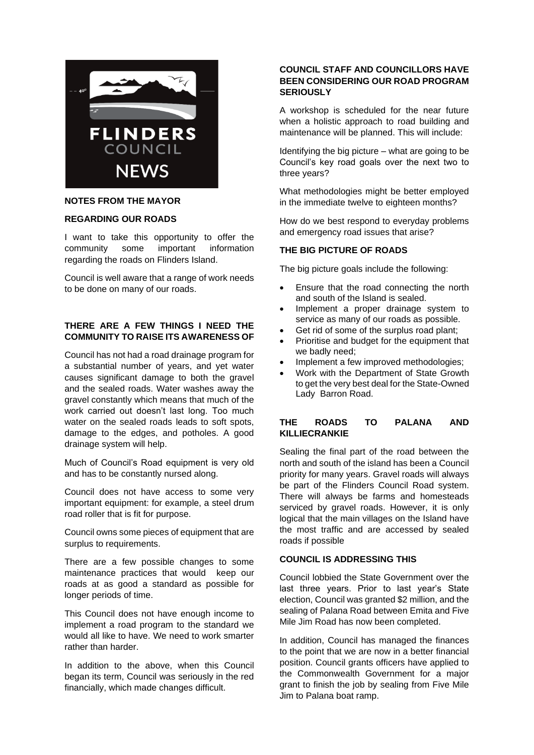

# **NOTES FROM THE MAYOR**

#### **REGARDING OUR ROADS**

I want to take this opportunity to offer the community some important information regarding the roads on Flinders Island.

Council is well aware that a range of work needs to be done on many of our roads.

# **THERE ARE A FEW THINGS I NEED THE COMMUNITY TO RAISE ITS AWARENESS OF**

Council has not had a road drainage program for a substantial number of years, and yet water causes significant damage to both the gravel and the sealed roads. Water washes away the gravel constantly which means that much of the work carried out doesn't last long. Too much water on the sealed roads leads to soft spots, damage to the edges, and potholes. A good drainage system will help.

Much of Council's Road equipment is very old and has to be constantly nursed along.

Council does not have access to some very important equipment: for example, a steel drum road roller that is fit for purpose.

Council owns some pieces of equipment that are surplus to requirements.

There are a few possible changes to some maintenance practices that would keep our roads at as good a standard as possible for longer periods of time.

This Council does not have enough income to implement a road program to the standard we would all like to have. We need to work smarter rather than harder.

In addition to the above, when this Council began its term, Council was seriously in the red financially, which made changes difficult.

## **COUNCIL STAFF AND COUNCILLORS HAVE BEEN CONSIDERING OUR ROAD PROGRAM SERIOUSLY**

A workshop is scheduled for the near future when a holistic approach to road building and maintenance will be planned. This will include:

Identifying the big picture – what are going to be Council's key road goals over the next two to three years?

What methodologies might be better employed in the immediate twelve to eighteen months?

How do we best respond to everyday problems and emergency road issues that arise?

## **THE BIG PICTURE OF ROADS**

The big picture goals include the following:

- Ensure that the road connecting the north and south of the Island is sealed.
- Implement a proper drainage system to service as many of our roads as possible.
- Get rid of some of the surplus road plant;
- Prioritise and budget for the equipment that we badly need;
- Implement a few improved methodologies:
- Work with the Department of State Growth to get the very best deal for the State-Owned Lady Barron Road.

## **THE ROADS TO PALANA AND KILLIECRANKIE**

Sealing the final part of the road between the north and south of the island has been a Council priority for many years. Gravel roads will always be part of the Flinders Council Road system. There will always be farms and homesteads serviced by gravel roads. However, it is only logical that the main villages on the Island have the most traffic and are accessed by sealed roads if possible

## **COUNCIL IS ADDRESSING THIS**

Council lobbied the State Government over the last three years. Prior to last year's State election, Council was granted \$2 million, and the sealing of Palana Road between Emita and Five Mile Jim Road has now been completed.

In addition, Council has managed the finances to the point that we are now in a better financial position. Council grants officers have applied to the Commonwealth Government for a major grant to finish the job by sealing from Five Mile Jim to Palana boat ramp.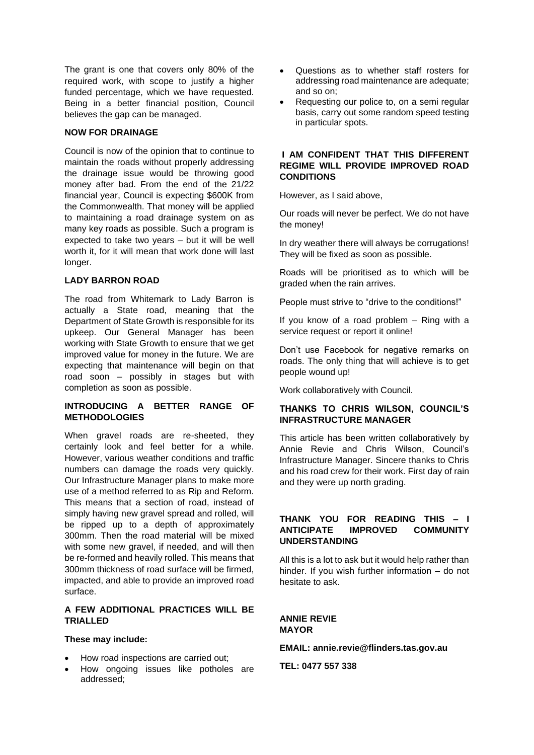The grant is one that covers only 80% of the required work, with scope to justify a higher funded percentage, which we have requested. Being in a better financial position, Council believes the gap can be managed.

## **NOW FOR DRAINAGE**

Council is now of the opinion that to continue to maintain the roads without properly addressing the drainage issue would be throwing good money after bad. From the end of the 21/22 financial year, Council is expecting \$600K from the Commonwealth. That money will be applied to maintaining a road drainage system on as many key roads as possible. Such a program is expected to take two years – but it will be well worth it, for it will mean that work done will last longer.

# **LADY BARRON ROAD**

The road from Whitemark to Lady Barron is actually a State road, meaning that the Department of State Growth is responsible for its upkeep. Our General Manager has been working with State Growth to ensure that we get improved value for money in the future. We are expecting that maintenance will begin on that road soon – possibly in stages but with completion as soon as possible.

# **INTRODUCING A BETTER RANGE OF METHODOLOGIES**

When gravel roads are re-sheeted, they certainly look and feel better for a while. However, various weather conditions and traffic numbers can damage the roads very quickly. Our Infrastructure Manager plans to make more use of a method referred to as Rip and Reform. This means that a section of road, instead of simply having new gravel spread and rolled, will be ripped up to a depth of approximately 300mm. Then the road material will be mixed with some new gravel, if needed, and will then be re-formed and heavily rolled. This means that 300mm thickness of road surface will be firmed, impacted, and able to provide an improved road surface.

# **A FEW ADDITIONAL PRACTICES WILL BE TRIALLED**

#### **These may include:**

- How road inspections are carried out;
- How ongoing issues like potholes are addressed;
- Questions as to whether staff rosters for addressing road maintenance are adequate; and so on;
- Requesting our police to, on a semi regular basis, carry out some random speed testing in particular spots.

# **I AM CONFIDENT THAT THIS DIFFERENT REGIME WILL PROVIDE IMPROVED ROAD CONDITIONS**

However, as I said above,

Our roads will never be perfect. We do not have the money!

In dry weather there will always be corrugations! They will be fixed as soon as possible.

Roads will be prioritised as to which will be graded when the rain arrives.

People must strive to "drive to the conditions!"

If you know of a road problem – Ring with a service request or report it online!

Don't use Facebook for negative remarks on roads. The only thing that will achieve is to get people wound up!

Work collaboratively with Council.

## **THANKS TO CHRIS WILSON, COUNCIL'S INFRASTRUCTURE MANAGER**

This article has been written collaboratively by Annie Revie and Chris Wilson, Council's Infrastructure Manager. Sincere thanks to Chris and his road crew for their work. First day of rain and they were up north grading.

# **THANK YOU FOR READING THIS – I ANTICIPATE IMPROVED COMMUNITY UNDERSTANDING**

All this is a lot to ask but it would help rather than hinder. If you wish further information – do not hesitate to ask.

**ANNIE REVIE MAYOR**

**EMAIL: annie.revie@flinders.tas.gov.au**

**TEL: 0477 557 338**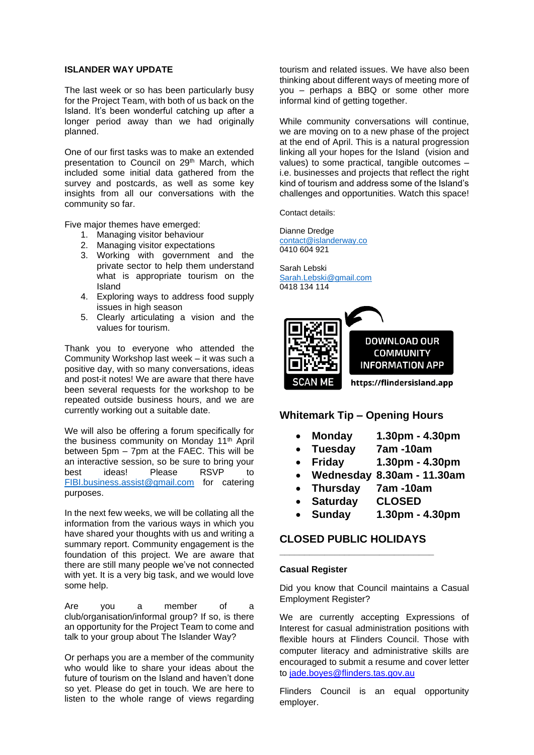#### **ISLANDER WAY UPDATE**

The last week or so has been particularly busy for the Project Team, with both of us back on the Island. It's been wonderful catching up after a longer period away than we had originally planned.

One of our first tasks was to make an extended presentation to Council on 29<sup>th</sup> March, which included some initial data gathered from the survey and postcards, as well as some key insights from all our conversations with the community so far.

Five major themes have emerged:

- 1. Managing visitor behaviour
- 2. Managing visitor expectations
- 3. Working with government and the private sector to help them understand what is appropriate tourism on the Island
- 4. Exploring ways to address food supply issues in high season
- 5. Clearly articulating a vision and the values for tourism.

Thank you to everyone who attended the Community Workshop last week – it was such a positive day, with so many conversations, ideas and post-it notes! We are aware that there have been several requests for the workshop to be repeated outside business hours, and we are currently working out a suitable date.

We will also be offering a forum specifically for the business community on Monday 11th April between 5pm – 7pm at the FAEC. This will be an interactive session, so be sure to bring your best ideas! Please RSVP to [FIBI.business.assist@gmail.com](mailto:FIBI.business.assist@gmail.com) for catering purposes.

In the next few weeks, we will be collating all the information from the various ways in which you have shared your thoughts with us and writing a summary report. Community engagement is the foundation of this project. We are aware that there are still many people we've not connected with yet. It is a very big task, and we would love some help.

Are you a member of a club/organisation/informal group? If so, is there an opportunity for the Project Team to come and talk to your group about The Islander Way?

Or perhaps you are a member of the community who would like to share your ideas about the future of tourism on the Island and haven't done so yet. Please do get in touch. We are here to listen to the whole range of views regarding tourism and related issues. We have also been thinking about different ways of meeting more of you – perhaps a BBQ or some other more informal kind of getting together.

While community conversations will continue, we are moving on to a new phase of the project at the end of April. This is a natural progression linking all your hopes for the Island (vision and values) to some practical, tangible outcomes – i.e. businesses and projects that reflect the right kind of tourism and address some of the Island's challenges and opportunities. Watch this space!

Contact details:

Dianne Dredge [contact@islanderway.co](mailto:contact@islanderway.co) 0410 604 921

Sarah Lebski [Sarah.Lebski@gmail.com](mailto:Sarah.Lebski@gmail.com) 0418 134 114



# **Whitemark Tip – Opening Hours**

- **Monday 1.30pm - 4.30pm**
- **Tuesday 7am -10am**
- **Friday 1.30pm - 4.30pm**
- **Wednesday 8.30am - 11.30am**
- **Thursday 7am -10am**
- **Saturday CLOSED**
- **Sunday 1.30pm - 4.30pm**

# **CLOSED PUBLIC HOLIDAYS \_\_\_\_\_\_\_\_\_\_\_\_\_\_\_\_\_\_\_\_\_\_\_\_\_\_\_\_\_\_\_**

#### **Casual Register**

Did you know that Council maintains a Casual Employment Register?

We are currently accepting Expressions of Interest for casual administration positions with flexible hours at Flinders Council. Those with computer literacy and administrative skills are encouraged to submit a resume and cover letter to [jade.boyes@flinders.tas.gov.au](mailto:jade.boyes@flinders.tas.gov.au)

Flinders Council is an equal opportunity employer.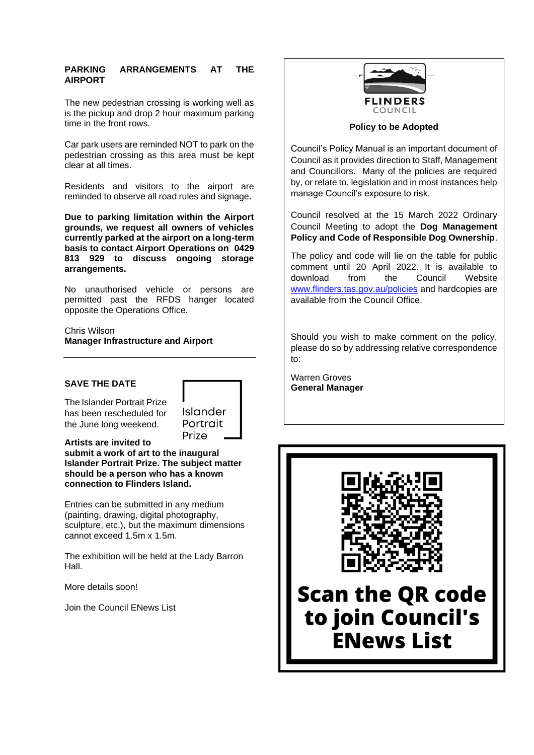## **PARKING ARRANGEMENTS AT THE AIRPORT**

The new pedestrian crossing is working well as is the pickup and drop 2 hour maximum parking time in the front rows.

Car park users are reminded NOT to park on the pedestrian crossing as this area must be kept clear at all times.   

Residents and visitors to the airport are reminded to observe all road rules and signage.

**Due to parking limitation within the Airport grounds, we request all owners of vehicles currently parked at the airport on a long-term basis to contact Airport Operations on 0429 813 929 to discuss ongoing storage arrangements.**

No unauthorised vehicle or persons are permitted past the RFDS hanger located opposite the Operations Office.

Chris Wilson **Manager Infrastructure and Airport**

# **SAVE THE DATE**

The Islander Portrait Prize has been rescheduled for the June long weekend.



**Artists are invited to submit a work of art to the inaugural Islander Portrait Prize. The subject matter should be a person who has a known connection to Flinders Island.**

Entries can be submitted in any medium (painting, drawing, digital photography, sculpture, etc.), but the maximum dimensions cannot exceed 1.5m x 1.5m.

The exhibition will be held at the Lady Barron Hall.

More details soon!

Join the Council ENews List



**Policy to be Adopted**

Council's Policy Manual is an important document of Council as it provides direction to Staff, Management and Councillors. Many of the policies are required by, or relate to, legislation and in most instances help manage Council's exposure to risk.

Council resolved at the 15 March 2022 Ordinary Council Meeting to adopt the **Dog Management Policy and Code of Responsible Dog Ownership**.

The policy and code will lie on the table for public comment until 20 April 2022. It is available to download from the Council Website [www.flinders.tas.gov.au/policies](http://www.flinders.tas.gov.au/policies) and hardcopies are available from the Council Office.

Should you wish to make comment on the policy, please do so by addressing relative correspondence to:

Warren Groves **General Manager**